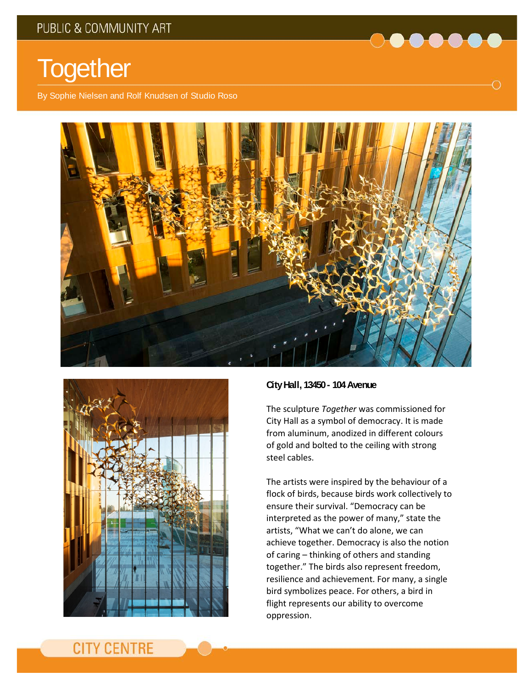

By Sophie Nielsen and Rolf Knudsen of Studio Roso





## **City Hall, 13450 - 104 Avenue**

The sculpture *Together* was commissioned for City Hall as a symbol of democracy. It is made from aluminum, anodized in different colours of gold and bolted to the ceiling with strong steel cables.

 $\bullet \bullet \bullet \bullet \bullet$ 

Ο

The artists were inspired by the behaviour of a flock of birds, because birds work collectively to ensure their survival. "Democracy can be interpreted as the power of many," state the artists, "What we can't do alone, we can achieve together. Democracy is also the notion of caring – thinking of others and standing together." The birds also represent freedom, resilience and achievement. For many, a single bird symbolizes peace. For others, a bird in flight represents our ability to overcome oppression.